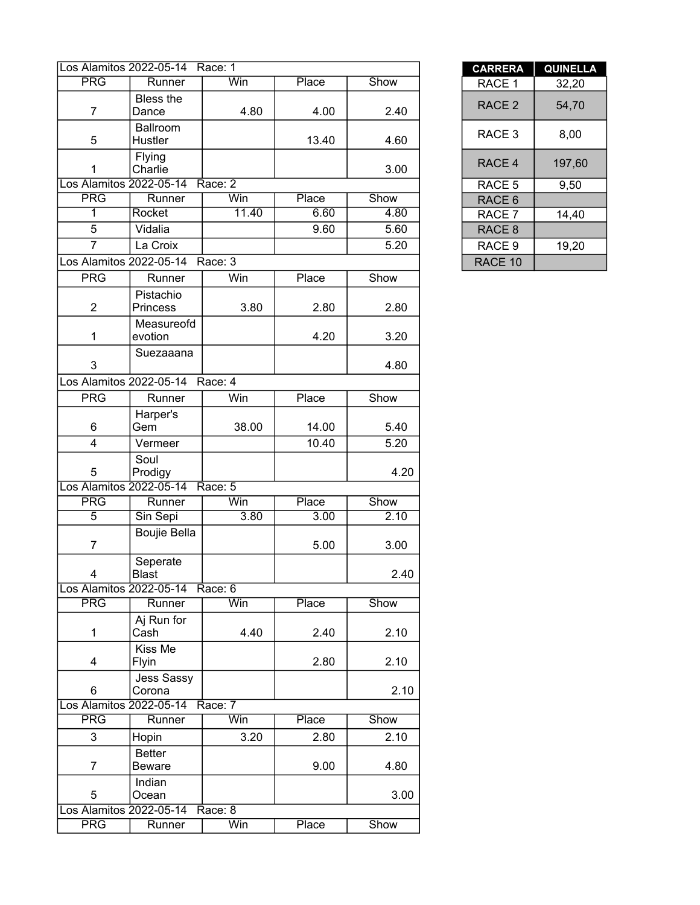|                         | Los Alamitos 2022-05-14 Race: 1 |         |       |      | <b>CARRERA</b>    | <b>QUINEL</b> |
|-------------------------|---------------------------------|---------|-------|------|-------------------|---------------|
| <b>PRG</b>              | Runner                          | Win     | Place | Show | RACE 1            | 32,20         |
| $\overline{7}$          | Bless the<br>Dance              | 4.80    | 4.00  | 2.40 | RACE <sub>2</sub> | 54,70         |
| 5                       | Ballroom<br>Hustler             |         | 13.40 | 4.60 | RACE <sub>3</sub> | 8,00          |
| 1                       | Flying<br>Charlie               |         |       | 3.00 | RACE 4            | 197,60        |
| Los Alamitos 2022-05-14 |                                 | Race: 2 |       |      | RACE 5            | 9,50          |
| <b>PRG</b>              | Runner                          | Win     | Place | Show | RACE 6            |               |
| 1                       | Rocket                          | 11.40   | 6.60  | 4.80 | RACE 7            | 14,40         |
| 5                       | Vidalia                         |         | 9.60  | 5.60 | RACE 8            |               |
| $\overline{7}$          | La Croix                        |         |       | 5.20 | RACE 9            | 19,20         |
| Los Alamitos 2022-05-14 |                                 | Race: 3 |       |      | RACE 10           |               |
| <b>PRG</b>              | Runner                          | Win     | Place | Show |                   |               |
|                         | Pistachio                       |         |       |      |                   |               |
| $\overline{2}$          | <b>Princess</b>                 | 3.80    | 2.80  | 2.80 |                   |               |
| 1                       | Measureofd<br>evotion           |         | 4.20  | 3.20 |                   |               |
| 3                       | Suezaaana                       |         |       | 4.80 |                   |               |
| Los Alamitos 2022-05-14 |                                 | Race: 4 |       |      |                   |               |
| <b>PRG</b>              | Runner                          | Win     | Place | Show |                   |               |
|                         | Harper's                        |         |       |      |                   |               |
| 6                       | Gem                             | 38.00   | 14.00 | 5.40 |                   |               |
| $\overline{4}$          | Vermeer                         |         | 10.40 | 5.20 |                   |               |
| 5                       | Soul<br>Prodigy                 |         |       | 4.20 |                   |               |
| Los Alamitos 2022-05-14 |                                 | Race: 5 |       |      |                   |               |
| <b>PRG</b>              | Runner                          | Win     | Place | Show |                   |               |
| $\overline{5}$          | Sin Sepi                        | 3.80    | 3.00  | 2.10 |                   |               |
| $\overline{7}$          | <b>Boujie Bella</b>             |         | 5.00  | 3.00 |                   |               |
| 4                       | Seperate<br><b>Blast</b>        |         |       | 2.40 |                   |               |
|                         | Los Alamitos 2022-05-14 Race: 6 |         |       |      |                   |               |
| <b>PRG</b>              | Runner                          | Win     | Place | Show |                   |               |
| $\mathbf{1}$            | Aj Run for<br>Cash              | 4.40    | 2.40  | 2.10 |                   |               |
| 4                       | Kiss Me<br><b>Flyin</b>         |         | 2.80  | 2.10 |                   |               |
| 6                       | <b>Jess Sassy</b><br>Corona     |         |       | 2.10 |                   |               |
| Los Alamitos 2022-05-14 |                                 | Race: 7 |       |      |                   |               |
| <b>PRG</b>              | Runner                          | Win     | Place | Show |                   |               |
| 3                       | Hopin                           | 3.20    | 2.80  | 2.10 |                   |               |
| $\overline{7}$          | <b>Better</b><br>Beware         |         | 9.00  | 4.80 |                   |               |
| 5                       | Indian<br>Ocean                 |         |       | 3.00 |                   |               |
| Los Alamitos 2022-05-14 |                                 | Race: 8 |       |      |                   |               |
| <b>PRG</b>              | Runner                          | Win     | Place | Show |                   |               |

| <b>CARRERA</b>    | <b>QUINELLA</b> |
|-------------------|-----------------|
| RACE 1            | 32,20           |
| RACE 2            | 54,70           |
| RACE 3            | 8,00            |
| RACE 4            | 197,60          |
| RACE 5            | 9,50            |
| RACE <sub>6</sub> |                 |
| RACE 7            | 14,40           |
| RACE 8            |                 |
| RACE 9            | 19,20           |
| RACE 10           |                 |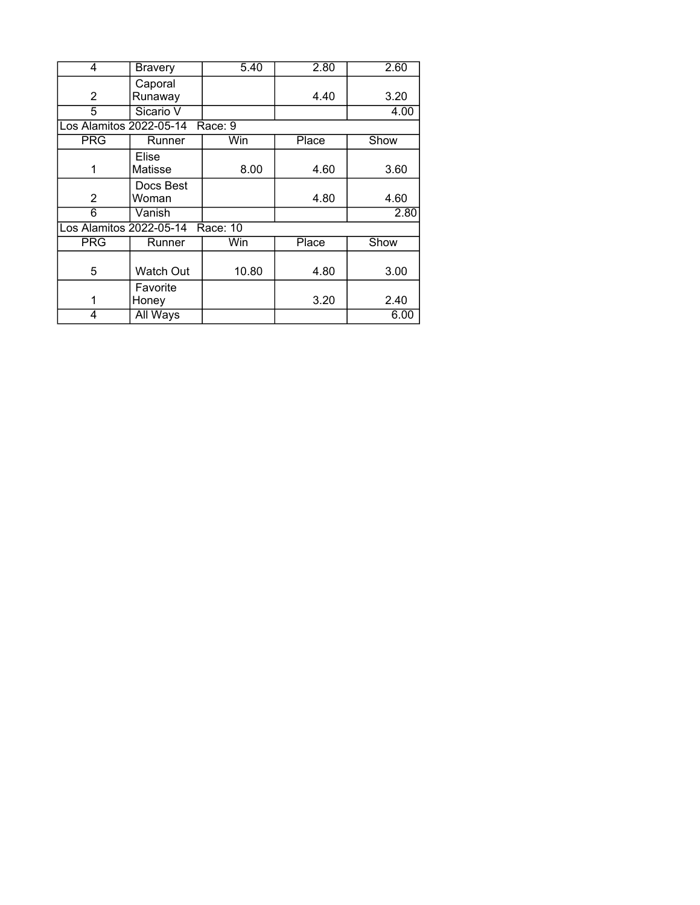| 4                       | <b>Bravery</b>   | 5.40     | 2.80  | 2.60 |
|-------------------------|------------------|----------|-------|------|
|                         | Caporal          |          |       |      |
| 2                       | Runaway          |          | 4.40  | 3.20 |
| 5                       | Sicario V        |          |       | 4.00 |
| Los Alamitos 2022-05-14 |                  | Race: 9  |       |      |
| <b>PRG</b>              | Runner           | Win      | Place | Show |
|                         | Elise            |          |       |      |
| 1                       | Matisse          | 8.00     | 4.60  | 3.60 |
|                         | Docs Best        |          |       |      |
| 2                       | Woman            |          | 4.80  | 4.60 |
| 6                       | Vanish           |          |       | 2.80 |
| Los Alamitos 2022-05-14 |                  | Race: 10 |       |      |
| <b>PRG</b>              | Runner           | Win      | Place | Show |
|                         |                  |          |       |      |
| 5                       | <b>Watch Out</b> | 10.80    | 4.80  | 3.00 |
|                         | Favorite         |          |       |      |
| 1                       | Honey            |          | 3.20  | 2.40 |
| 4                       | All Ways         |          |       | 6.00 |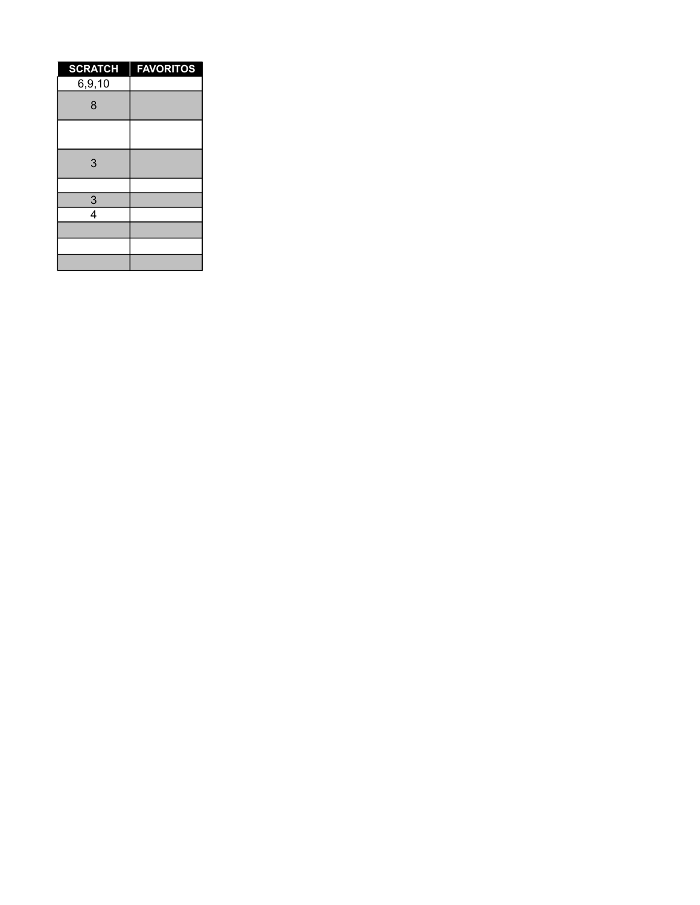| <b>SCRATCH</b> | <b>FAVORITOS</b> |
|----------------|------------------|
| 6, 9, 10       |                  |
| 8              |                  |
|                |                  |
| 3              |                  |
|                |                  |
| $\frac{3}{4}$  |                  |
|                |                  |
|                |                  |
|                |                  |
|                |                  |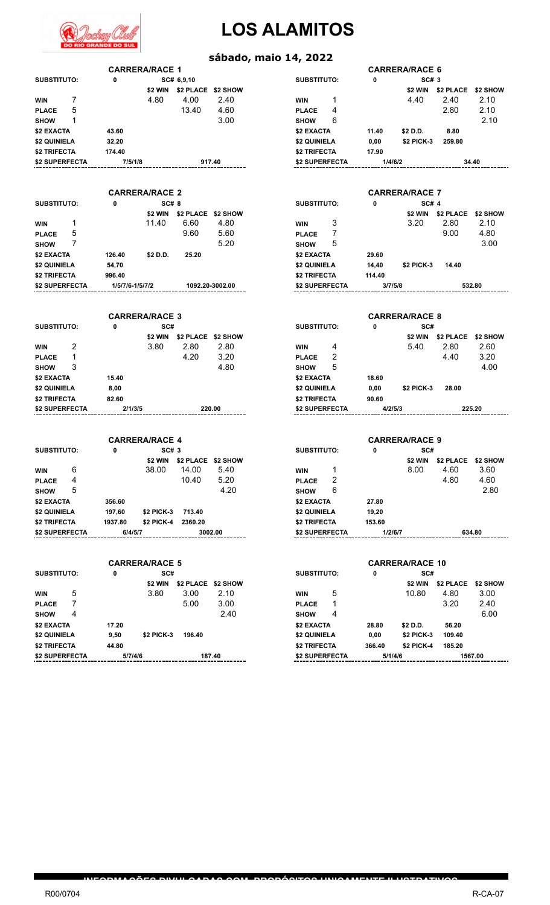

#### **sábado, maio 14, 2022**

|                       | <b>CARRERA/RACE 1</b>        |                            |                 |                       |         | <b>CARRERA/RACE 6</b>  |                            |          |
|-----------------------|------------------------------|----------------------------|-----------------|-----------------------|---------|------------------------|----------------------------|----------|
| <b>SUBSTITUTO:</b>    | 0                            | SC# 6,9,10                 |                 | <b>SUBSTITUTO:</b>    | 0       | SC# 3                  |                            |          |
|                       | \$2 WIN                      | \$2 PLACE \$2 SHOW         |                 |                       |         | \$2 WIN                | \$2 PLACE                  | \$2 SHOW |
| 7<br><b>WIN</b>       | 4.80                         | 4.00                       | 2.40            | 1<br><b>WIN</b>       |         | 4.40                   | 2.40                       | 2.10     |
| 5<br><b>PLACE</b>     |                              | 13.40                      | 4.60            | 4<br><b>PLACE</b>     |         |                        | 2.80                       | 2.10     |
| 1<br><b>SHOW</b>      |                              |                            | 3.00            | 6<br><b>SHOW</b>      |         |                        |                            | 2.10     |
| \$2 EXACTA            | 43.60                        |                            |                 | \$2 EXACTA            | 11.40   | \$2 D.D.               | 8.80                       |          |
| \$2 QUINIELA          | 32,20                        |                            |                 | <b>\$2 QUINIELA</b>   | 0,00    | \$2 PICK-3             | 259.80                     |          |
|                       |                              |                            |                 |                       |         |                        |                            |          |
| <b>\$2 TRIFECTA</b>   | 174.40                       |                            |                 | <b>\$2 TRIFECTA</b>   | 17.90   |                        |                            |          |
| \$2 SUPERFECTA        | 7/5/1/8                      |                            | 917.40          | \$2 SUPERFECTA        | 1/4/6/2 |                        |                            | 34.40    |
|                       |                              |                            |                 |                       |         |                        |                            |          |
|                       |                              |                            |                 |                       |         |                        |                            |          |
|                       | <b>CARRERA/RACE 2</b>        |                            |                 |                       |         | <b>CARRERA/RACE 7</b>  |                            |          |
| <b>SUBSTITUTO:</b>    | 0<br><b>SC# 8</b>            |                            |                 | <b>SUBSTITUTO:</b>    | 0       | SC# 4                  |                            |          |
|                       | \$2 WIN                      | \$2 PLACE \$2 SHOW         |                 |                       |         | \$2 WIN                | \$2 PLACE                  | \$2 SHOW |
| 1<br><b>WIN</b>       | 11.40                        | 6.60                       | 4.80            | 3<br><b>WIN</b>       |         | 3.20                   | 2.80                       | 2.10     |
| 5<br><b>PLACE</b>     |                              | 9.60                       | 5.60            | 7<br><b>PLACE</b>     |         |                        | 9.00                       | 4.80     |
| 7<br><b>SHOW</b>      |                              |                            | 5.20            | 5<br><b>SHOW</b>      |         |                        |                            | 3.00     |
| <b>\$2 EXACTA</b>     | 126.40<br>\$2 D.D.           | 25.20                      |                 | <b>\$2 EXACTA</b>     | 29.60   |                        |                            |          |
|                       |                              |                            |                 |                       |         |                        |                            |          |
| \$2 QUINIELA          | 54,70                        |                            |                 | \$2 QUINIELA          | 14,40   | \$2 PICK-3             | 14.40                      |          |
| <b>\$2 TRIFECTA</b>   | 996.40                       |                            |                 | <b>\$2 TRIFECTA</b>   | 114.40  |                        |                            |          |
| <b>\$2 SUPERFECTA</b> | 1/5/7/6-1/5/7/2              |                            | 1092.20-3002.00 | \$2 SUPERFECTA        | 3/7/5/8 |                        |                            | 532.80   |
|                       |                              |                            |                 |                       |         |                        |                            |          |
|                       |                              |                            |                 |                       |         |                        |                            |          |
|                       | <b>CARRERA/RACE 3</b>        |                            |                 |                       |         | <b>CARRERA/RACE 8</b>  |                            |          |
| <b>SUBSTITUTO:</b>    | SC#<br>0                     |                            |                 | <b>SUBSTITUTO:</b>    | 0       | SC#                    |                            |          |
|                       | \$2 WIN                      | \$2 PLACE \$2 SHOW         |                 |                       |         | \$2 WIN                | \$2 PLACE                  | \$2 SHOW |
| 2<br><b>WIN</b>       | 3.80                         | 2.80                       | 2.80            | 4<br><b>WIN</b>       |         | 5.40                   | 2.80                       | 2.60     |
| 1<br><b>PLACE</b>     |                              | 4.20                       | 3.20            | 2<br><b>PLACE</b>     |         |                        | 4.40                       | 3.20     |
| 3                     |                              |                            | 4.80            | 5                     |         |                        |                            | 4.00     |
| <b>SHOW</b>           |                              |                            |                 | <b>SHOW</b>           |         |                        |                            |          |
| \$2 EXACTA            | 15.40                        |                            |                 | <b>\$2 EXACTA</b>     | 18.60   |                        |                            |          |
| \$2 QUINIELA          | 8,00                         |                            |                 | \$2 QUINIELA          | 0,00    | \$2 PICK-3             | 28.00                      |          |
| <b>\$2 TRIFECTA</b>   | 82.60                        |                            |                 | <b>\$2 TRIFECTA</b>   | 90.60   |                        |                            |          |
| <b>\$2 SUPERFECTA</b> | 2/1/3/5                      |                            | 220.00          | <b>\$2 SUPERFECTA</b> | 4/2/5/3 |                        |                            | 225.20   |
|                       |                              |                            |                 |                       |         |                        |                            |          |
|                       |                              |                            |                 |                       |         |                        |                            |          |
|                       | <b>CARRERA/RACE 4</b>        |                            |                 |                       |         | <b>CARRERA/RACE 9</b>  |                            |          |
| <b>SUBSTITUTO:</b>    | 0<br>SC#3                    |                            |                 | <b>SUBSTITUTO:</b>    | 0       | SC#                    |                            |          |
|                       |                              | \$2 WIN \$2 PLACE \$2 SHOW |                 |                       |         |                        | \$2 WIN \$2 PLACE \$2 SHOW |          |
| 6                     | 38.00                        | 14.00                      | 5.40            | 1                     |         | 8.00                   | 4.60                       | 3.60     |
| WIN                   |                              |                            |                 | <b>WIN</b>            |         |                        |                            |          |
| 4<br><b>PLACE</b>     |                              | 10.40                      | 5.20            | 2<br><b>PLACE</b>     |         |                        | 4.80                       | 4.60     |
| 5<br><b>SHOW</b>      |                              |                            | 4.20            | 6<br><b>SHOW</b>      |         |                        |                            | 2.80     |
| \$2 EXACTA            | 356.60                       |                            |                 | \$2 EXACTA            | 27.80   |                        |                            |          |
| \$2 QUINIELA          | 197,60<br>\$2 PICK-3         | 713.40                     |                 | <b>\$2 QUINIELA</b>   | 19,20   |                        |                            |          |
| \$2 TRIFECTA          | 1937.80<br><b>\$2 PICK-4</b> | 2360.20                    |                 | <b>\$2 TRIFECTA</b>   | 153.60  |                        |                            |          |
| \$2 SUPERFECTA        | 6/4/5/7                      |                            | 3002.00         | \$2 SUPERFECTA        | 1/2/6/7 |                        |                            | 634.80   |
|                       |                              |                            |                 |                       |         |                        |                            |          |
|                       |                              |                            |                 |                       |         |                        |                            |          |
|                       | <b>CARRERA/RACE 5</b>        |                            |                 |                       |         | <b>CARRERA/RACE 10</b> |                            |          |
| <b>SUBSTITUTO:</b>    | SC#<br>0                     |                            |                 | <b>SUBSTITUTO:</b>    | 0       | SC#                    |                            |          |
|                       |                              |                            |                 |                       |         |                        |                            |          |
|                       |                              | \$2 WIN \$2 PLACE \$2 SHOW |                 |                       |         | \$2 WIN                | <b>\$2 PLACE</b>           | \$2 SHOW |
| 5<br><b>WIN</b>       | 3.80                         | 3.00                       | 2.10            | 5<br>WIN              |         | 10.80                  | 4.80                       | 3.00     |
| 7<br><b>PLACE</b>     |                              | 5.00                       | 3.00            | 1<br><b>PLACE</b>     |         |                        | 3.20                       | 2.40     |
| 4<br><b>SHOW</b>      |                              |                            | 2.40            | 4<br><b>SHOW</b>      |         |                        |                            | 6.00     |
| \$2 EXACTA            | 17.20                        |                            |                 | \$2 EXACTA            | 28.80   | \$2 D.D.               | 56.20                      |          |
| \$2 QUINIELA          | 9,50<br>\$2 PICK-3           | 196.40                     |                 | <b>\$2 QUINIELA</b>   | 0,00    | \$2 PICK-3             | 109.40                     |          |
| \$2 TRIFECTA          | 44.80                        |                            |                 | <b>\$2 TRIFECTA</b>   | 366.40  | <b>\$2 PICK-4</b>      | 185.20                     |          |
|                       |                              |                            |                 |                       |         |                        |                            |          |
| \$2 SUPERFECTA        | 5/7/4/6                      |                            | 187.40          | \$2 SUPERFECTA        | 5/1/4/6 |                        |                            | 1567.00  |
|                       |                              |                            |                 |                       |         |                        |                            |          |
|                       |                              |                            |                 |                       |         |                        |                            |          |
|                       |                              |                            |                 |                       |         |                        |                            |          |
|                       |                              |                            |                 |                       |         |                        |                            |          |
|                       |                              |                            |                 |                       |         |                        |                            |          |
|                       |                              |                            |                 |                       |         |                        |                            |          |

**INFORMAÇÕES DIVULGADAS COM PROPÓSITOS UNICAMENTE ILUSTRATIVOS**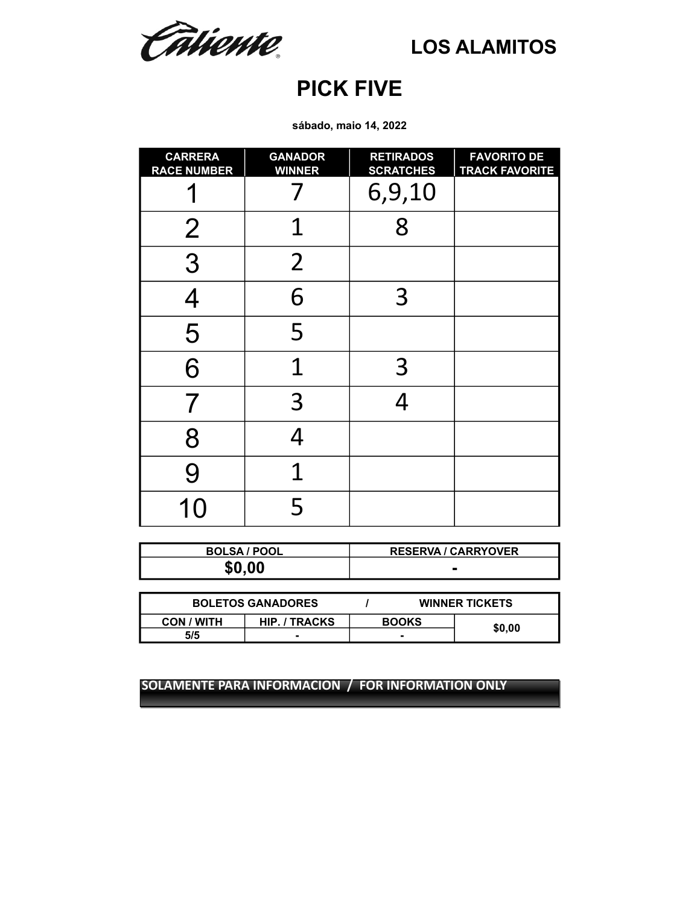Câtiente.

### **PICK FIVE**

**sábado, maio 14, 2022**

| <b>CARRERA</b><br><b>RACE NUMBER</b> | <b>GANADOR</b><br><b>WINNER</b> | <b>RETIRADOS</b><br><b>SCRATCHES</b> | <b>FAVORITO DE</b><br><b>TRACK FAVORITE</b> |
|--------------------------------------|---------------------------------|--------------------------------------|---------------------------------------------|
|                                      |                                 | 6,9,10                               |                                             |
| $\overline{2}$                       | 1                               | 8                                    |                                             |
| 3                                    | $\overline{2}$                  |                                      |                                             |
| $\overline{4}$                       | 6                               | $\overline{3}$                       |                                             |
| 5                                    | 5                               |                                      |                                             |
| 6                                    | 1                               | 3                                    |                                             |
| 7                                    | 3                               |                                      |                                             |
| 8                                    | 4                               |                                      |                                             |
| 9                                    | 1                               |                                      |                                             |
| 10                                   | 5                               |                                      |                                             |

| <b>BOLSA / POOL</b> | <b>RESERVA / CARRYOVER</b> |
|---------------------|----------------------------|
| \$0.00              | -                          |

| <b>BOLETOS GANADORES</b> |                      |              | <b>WINNER TICKETS</b> |        |  |
|--------------------------|----------------------|--------------|-----------------------|--------|--|
| <b>CON / WITH</b>        | <b>HIP. / TRACKS</b> | <b>BOOKS</b> |                       |        |  |
| 5/5                      |                      |              |                       | \$0,00 |  |
|                          |                      |              |                       |        |  |

**SOLAMENTE PARA INFORMACION / FOR INFORMATION ONLY SOLAMENTE PARA INFORMACION / FOR INFORMATION ONLY**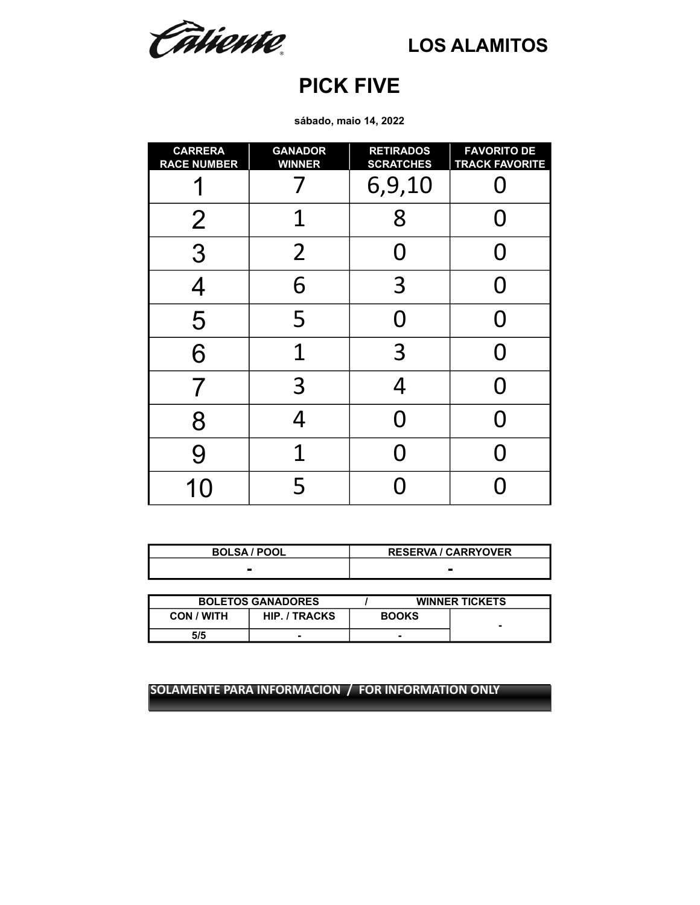Catiente.

### **PICK FIVE**

**sábado, maio 14, 2022**

| <b>CARRERA</b><br><b>RACE NUMBER</b> | <b>GANADOR</b><br><b>WINNER</b> | <b>RETIRADOS</b><br><b>SCRATCHES</b> | <b>FAVORITO DE</b><br><b>TRACK FAVORITE</b> |
|--------------------------------------|---------------------------------|--------------------------------------|---------------------------------------------|
|                                      |                                 | 6,9,10                               |                                             |
| $\overline{2}$                       | 1                               | 8                                    |                                             |
| 3                                    | $\overline{2}$                  | ( )                                  |                                             |
| $\overline{4}$                       | 6                               | 3                                    |                                             |
| 5                                    | 5                               | N                                    |                                             |
| 6                                    | 1                               | 3                                    |                                             |
|                                      | 3                               | $\overline{4}$                       |                                             |
| 8                                    | 4                               | O                                    |                                             |
| 9                                    | 1                               |                                      |                                             |
| 1                                    | 5                               |                                      |                                             |

| <b>BOLSA / POOL</b> | <b>RESERVA / CARRYOVER</b> |
|---------------------|----------------------------|
|                     |                            |

|                   | <b>BOLETOS GANADORES</b> |              | <b>WINNER TICKETS</b> |
|-------------------|--------------------------|--------------|-----------------------|
| <b>CON / WITH</b> | <b>HIP. / TRACKS</b>     | <b>BOOKS</b> | -                     |
| 5/5               | -                        |              |                       |

**SOLAMENTE PARA INFORMACION / FOR INFORMATION ONLY**